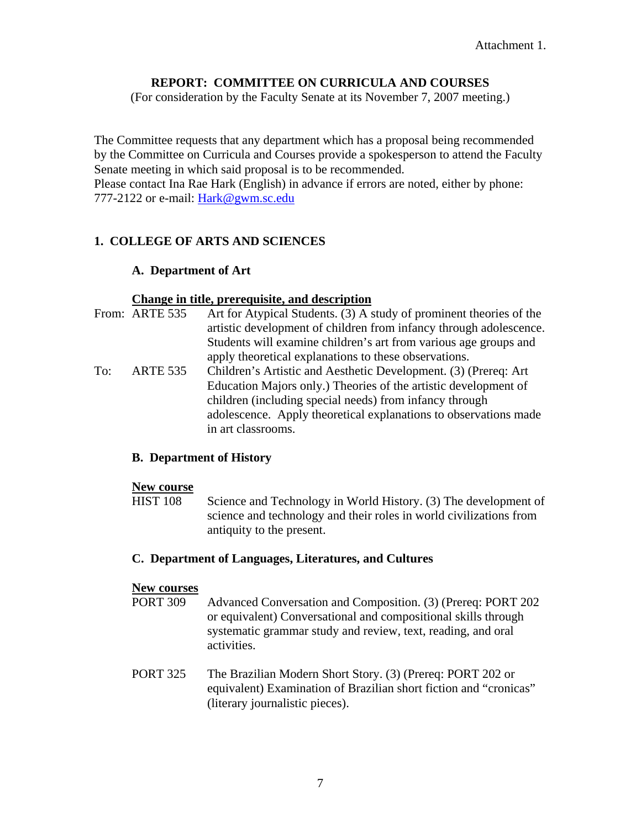## **REPORT: COMMITTEE ON CURRICULA AND COURSES**

(For consideration by the Faculty Senate at its November 7, 2007 meeting.)

The Committee requests that any department which has a proposal being recommended by the Committee on Curricula and Courses provide a spokesperson to attend the Faculty Senate meeting in which said proposal is to be recommended. Please contact Ina Rae Hark (English) in advance if errors are noted, either by phone: 777-2122 or e-mail: [Hark@gwm.sc.edu](mailto:Hark@gwm.sc.edu)

## **1. COLLEGE OF ARTS AND SCIENCES**

### **A. Department of Art**

### **Change in title, prerequisite, and description**

|     | From: ARTE 535  | Art for Atypical Students. (3) A study of prominent theories of the |
|-----|-----------------|---------------------------------------------------------------------|
|     |                 | artistic development of children from infancy through adolescence.  |
|     |                 | Students will examine children's art from various age groups and    |
|     |                 | apply theoretical explanations to these observations.               |
| To: | <b>ARTE 535</b> | Children's Artistic and Aesthetic Development. (3) (Prereq: Art     |
|     |                 | Education Majors only.) Theories of the artistic development of     |
|     |                 | children (including special needs) from infancy through             |
|     |                 | adolescence. Apply theoretical explanations to observations made    |
|     |                 | in art classrooms.                                                  |

### **B. Department of History**

#### **New course**

 HIST 108 Science and Technology in World History. (3) The development of science and technology and their roles in world civilizations from antiquity to the present.

### **C. Department of Languages, Literatures, and Cultures**

### **New courses**

- PORT 309 Advanced Conversation and Composition. (3) (Prereq: PORT 202 or equivalent) Conversational and compositional skills through systematic grammar study and review, text, reading, and oral activities.
- PORT 325 The Brazilian Modern Short Story. (3) (Prereq: PORT 202 or equivalent) Examination of Brazilian short fiction and "cronicas" (literary journalistic pieces).